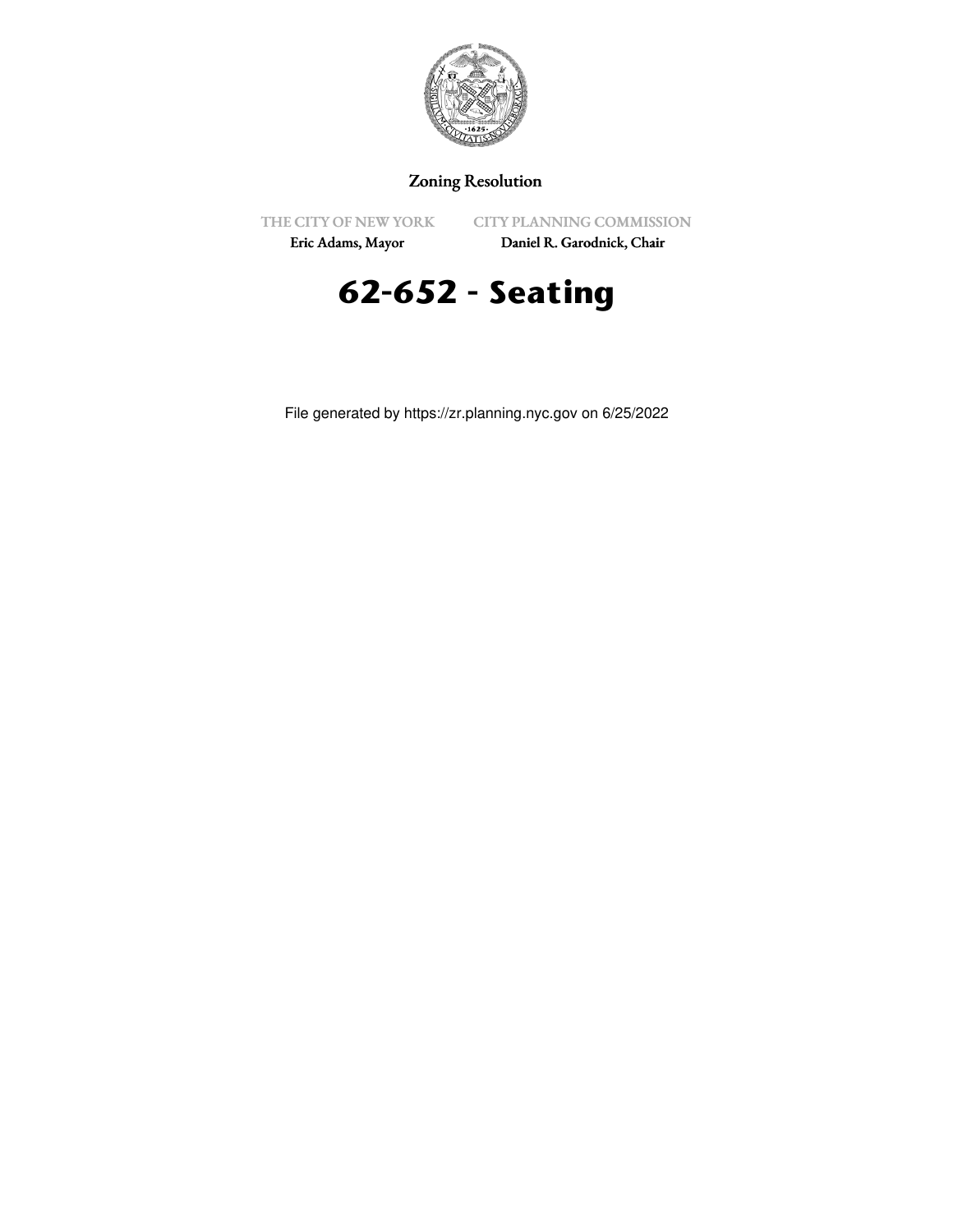

# Zoning Resolution

THE CITY OF NEW YORK

CITY PLANNING COMMISSION

Eric Adams, Mayor

Daniel R. Garodnick, Chair



File generated by https://zr.planning.nyc.gov on 6/25/2022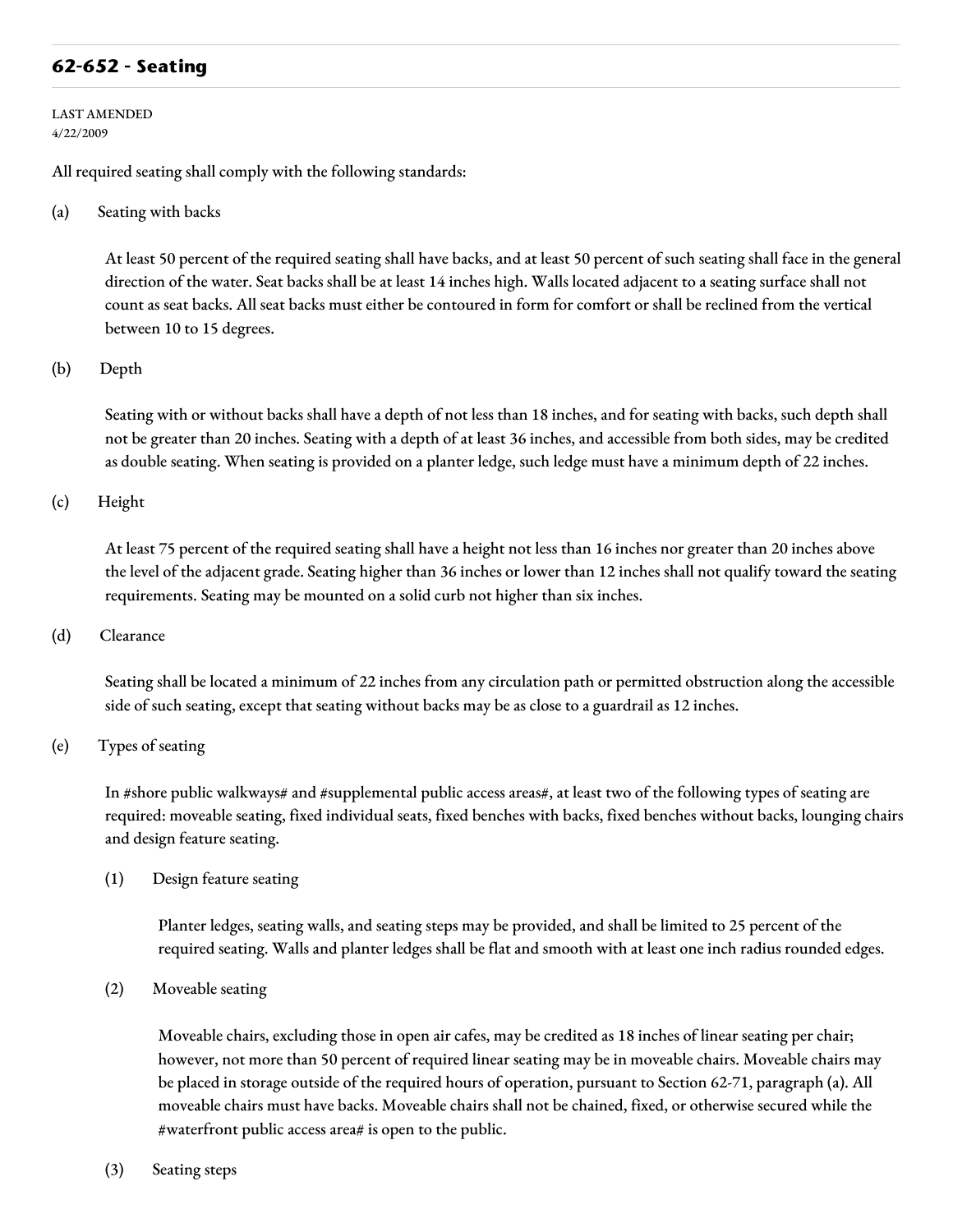## **62-652 - Seating**

LAST AMENDED 4/22/2009

All required seating shall comply with the following standards:

(a) Seating with backs

At least 50 percent of the required seating shall have backs, and at least 50 percent of such seating shall face in the general direction of the water. Seat backs shall be at least 14 inches high. Walls located adjacent to a seating surface shall not count as seat backs. All seat backs must either be contoured in form for comfort or shall be reclined from the vertical between 10 to 15 degrees.

#### (b) Depth

Seating with or without backs shall have a depth of not less than 18 inches, and for seating with backs, such depth shall not be greater than 20 inches. Seating with a depth of at least 36 inches, and accessible from both sides, may be credited as double seating. When seating is provided on a planter ledge, such ledge must have a minimum depth of 22 inches.

#### (c) Height

At least 75 percent of the required seating shall have a height not less than 16 inches nor greater than 20 inches above the level of the adjacent grade. Seating higher than 36 inches or lower than 12 inches shall not qualify toward the seating requirements. Seating may be mounted on a solid curb not higher than six inches.

#### (d) Clearance

Seating shall be located a minimum of 22 inches from any circulation path or permitted obstruction along the accessible side of such seating, except that seating without backs may be as close to a guardrail as 12 inches.

### (e) Types of seating

In #shore public walkways# and #supplemental public access areas#, at least two of the following types of seating are required: moveable seating, fixed individual seats, fixed benches with backs, fixed benches without backs, lounging chairs and design feature seating.

(1) Design feature seating

Planter ledges, seating walls, and seating steps may be provided, and shall be limited to 25 percent of the required seating. Walls and planter ledges shall be flat and smooth with at least one inch radius rounded edges.

(2) Moveable seating

Moveable chairs, excluding those in open air cafes, may be credited as 18 inches of linear seating per chair; however, not more than 50 percent of required linear seating may be in moveable chairs. Moveable chairs may be placed in storage outside of the required hours of operation, pursuant to Section 62-71, paragraph (a). All moveable chairs must have backs. Moveable chairs shall not be chained, fixed, or otherwise secured while the #waterfront public access area# is open to the public.

(3) Seating steps